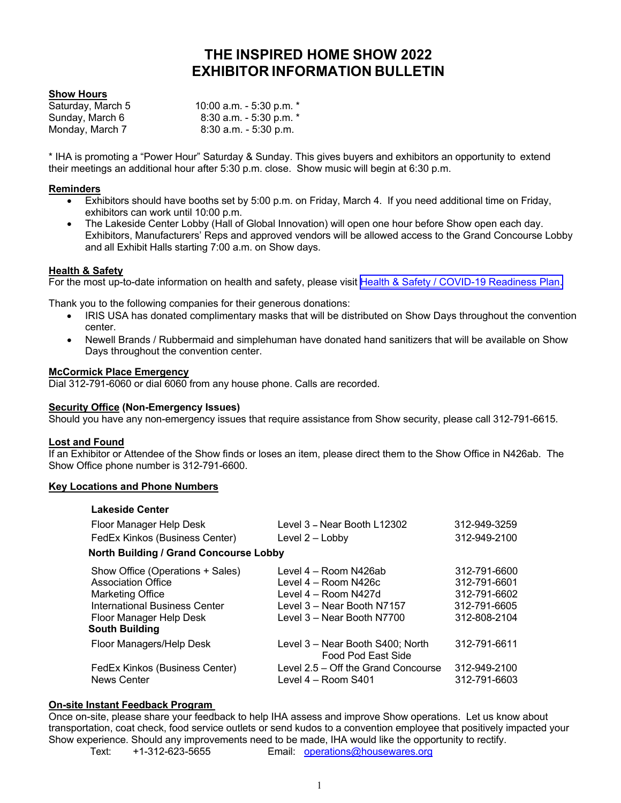# **THE INSPIRED HOME SHOW 2022 EXHIBITOR INFORMATION BULLETIN**

# **Show Hours**

| Saturday, March 5 | 10:00 a.m. - 5:30 p.m. $*$  |
|-------------------|-----------------------------|
| Sunday, March 6   | $8:30$ a.m. - 5:30 p.m. $*$ |
| Monday, March 7   | $8:30$ a.m. $-5:30$ p.m.    |

\* IHA is promoting a "Power Hour" Saturday & Sunday. This gives buyers and exhibitors an opportunity to extend their meetings an additional hour after 5:30 p.m. close. Show music will begin at 6:30 p.m.

#### **Reminders**

- Exhibitors should have booths set by 5:00 p.m. on Friday, March 4. If you need additional time on Friday, exhibitors can work until 10:00 p.m.
- The Lakeside Center Lobby (Hall of Global Innovation) will open one hour before Show open each day. Exhibitors, Manufacturers' Reps and approved vendors will be allowed access to the Grand Concourse Lobby and all Exhibit Halls starting 7:00 a.m. on Show days.

# **Health & Safety**

For the most up-to-date information on health and safety, please visit [Health & Safety / COVID-19 Readiness Plan.](https://www.theinspiredhomeshow.com/health-safety/)

Thank you to the following companies for their generous donations:

- IRIS USA has donated complimentary masks that will be distributed on Show Days throughout the convention center.
- Newell Brands / Rubbermaid and simplehuman have donated hand sanitizers that will be available on Show Days throughout the convention center.

#### **McCormick Place Emergency**

Dial 312-791-6060 or dial 6060 from any house phone. Calls are recorded.

#### **Security Office (Non-Emergency Issues)**

Should you have any non-emergency issues that require assistance from Show security, please call 312-791-6615.

#### **Lost and Found**

If an Exhibitor or Attendee of the Show finds or loses an item, please direct them to the Show Office in N426ab. The Show Office phone number is 312-791-6600.

#### **Key Locations and Phone Numbers**

| <b>Lakeside Center</b>                                                                                                                                                        |                                                                                                                                   |                                                                              |
|-------------------------------------------------------------------------------------------------------------------------------------------------------------------------------|-----------------------------------------------------------------------------------------------------------------------------------|------------------------------------------------------------------------------|
| Floor Manager Help Desk                                                                                                                                                       | Level 3 - Near Booth L12302                                                                                                       | 312-949-3259                                                                 |
| FedEx Kinkos (Business Center)                                                                                                                                                | Level 2 - Lobby                                                                                                                   | 312-949-2100                                                                 |
| <b>North Building / Grand Concourse Lobby</b>                                                                                                                                 |                                                                                                                                   |                                                                              |
| Show Office (Operations + Sales)<br><b>Association Office</b><br><b>Marketing Office</b><br><b>International Business Center</b><br>Floor Manager Help Desk<br>South Building | Level 4 – Room N426ab<br>Level 4 - Room N426c<br>Level 4 – Room N427d<br>Level 3 – Near Booth N7157<br>Level 3 - Near Booth N7700 | 312-791-6600<br>312-791-6601<br>312-791-6602<br>312-791-6605<br>312-808-2104 |
| Floor Managers/Help Desk                                                                                                                                                      | Level 3 – Near Booth S400; North<br>Food Pod East Side                                                                            | 312-791-6611                                                                 |
| FedEx Kinkos (Business Center)<br><b>News Center</b>                                                                                                                          | Level 2.5 – Off the Grand Concourse<br>Level $4 -$ Room S401                                                                      | 312-949-2100<br>312-791-6603                                                 |

# **On-site Instant Feedback Program**

Once on-site, please share your feedback to help IHA assess and improve Show operations. Let us know about transportation, coat check, food service outlets or send kudos to a convention employee that positively impacted your Show experience. Should any improvements need to be made, IHA would like the opportunity to rectify. Text: +1-312-623-5655 Email: operations@housewares.org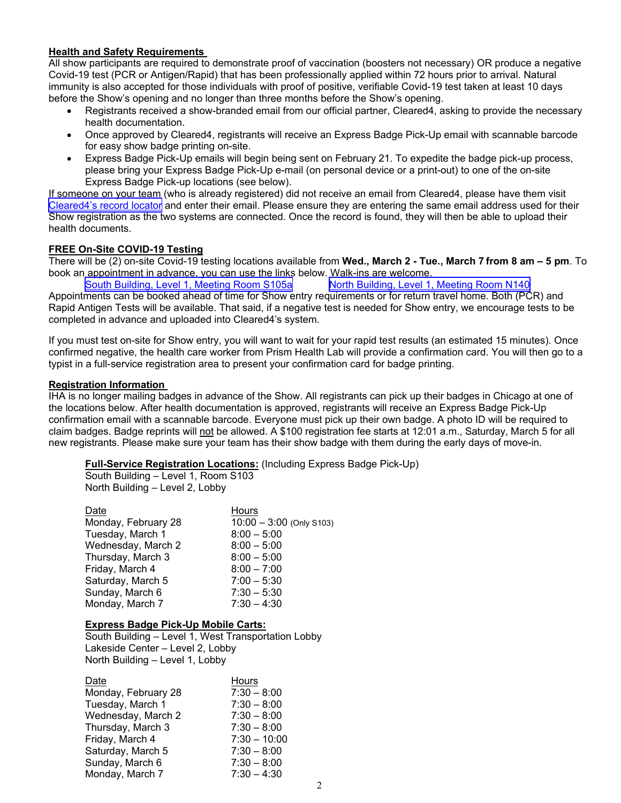# **Health and Safety Requirements**

All show participants are required to demonstrate proof of vaccination (boosters not necessary) OR produce a negative Covid-19 test (PCR or Antigen/Rapid) that has been professionally applied within 72 hours prior to arrival. Natural immunity is also accepted for those individuals with proof of positive, verifiable Covid-19 test taken at least 10 days before the Show's opening and no longer than three months before the Show's opening.

- Registrants received a show-branded email from our official partner, Cleared4, asking to provide the necessary health documentation.
- Once approved by Cleared4, registrants will receive an Express Badge Pick-Up email with scannable barcode for easy show badge printing on-site.
- Express Badge Pick-Up emails will begin being sent on February 21. To expedite the badge pick-up process, please bring your Express Badge Pick-Up e-mail (on personal device or a print-out) to one of the on-site Express Badge Pick-up locations (see below).

If someone on your team (who is already registered) did not receive an email from Cleared4, please have them visit [Cleared4's record locator](https://share.theinspiredhomeshow.com/e3t/Btc/I6+113/cWgtl04/VWHr4K2g4mJjW1vc-8F3HbMXfW5q0Twr4FJt4_N7xs-wc3lLB3V1-WJV7CgF1vW6PbBd396Plx6W62dg-97_LdY4W1xQWFl1zRRHgW94-Wbf3y0RHbVqbFy032HgfJVJ03JC79Ps61W7wq3Pf7KsQdSW6-HwmR13wGspVYjBBR6_WnJlW2ffj5_46zsJvW39tm2h1J_7_pW52Gx464JmSqmW9kCN422v2DRwW1KLK261Nzf8ZVhB5Kb8C8wS9VKJGPc45Cz84W3p1X2M2WwD1pW3f3QWt7wYZh9W2Qj1wX3QDXNFVLxsQp9cxr9n3mzV1) and enter their email. Please ensure they are entering the same email address used for their Show registration as the two systems are connected. Once the record is found, they will then be able to upload their health documents.

# **FREE On-Site COVID-19 Testing**

There will be (2) on-site Covid-19 testing locations available from **Wed., March 2 - Tue., March 7 from 8 am – 5 pm**. To book an appointment in advance, you can use the links below. Walk-ins are welcome.

[South Building, Level 1, Meeting Room S105a](https://www.prism.org/theinspiredhomeshowsouthbuilding) [North Building, Level 1, Meeting Room N140](https://www.prism.org/theinspiredhomeshownorthbuilding) Appointments can be booked ahead of time for Show entry requirements or for return travel home. Both (PCR) and Rapid Antigen Tests will be available. That said, if a negative test is needed for Show entry, we encourage tests to be completed in advance and uploaded into Cleared4's system.

If you must test on-site for Show entry, you will want to wait for your rapid test results (an estimated 15 minutes). Once confirmed negative, the health care worker from Prism Health Lab will provide a confirmation card. You will then go to a typist in a full-service registration area to present your confirmation card for badge printing.

#### **Registration Information**

IHA is no longer mailing badges in advance of the Show. All registrants can pick up their badges in Chicago at one of the locations below. After health documentation is approved, registrants will receive an Express Badge Pick-Up confirmation email with a scannable barcode. Everyone must pick up their own badge. A photo ID will be required to claim badges. Badge reprints will not be allowed. A \$100 registration fee starts at 12:01 a.m., Saturday, March 5 for all new registrants. Please make sure your team has their show badge with them during the early days of move-in.

**Full-Service Registration Locations:** (Including Express Badge Pick-Up)

South Building – Level 1, Room S103 North Building – Level 2, Lobby

| Date                | <b>Hours</b>               |
|---------------------|----------------------------|
| Monday, February 28 | $10:00 - 3:00$ (Only S103) |
| Tuesday, March 1    | $8:00 - 5:00$              |
| Wednesday, March 2  | $8:00 - 5:00$              |
| Thursday, March 3   | $8:00 - 5:00$              |
| Friday, March 4     | $8:00 - 7:00$              |
| Saturday, March 5   | $7:00 - 5:30$              |
| Sunday, March 6     | $7:30 - 5:30$              |
| Monday, March 7     | $7:30 - 4:30$              |

#### **Express Badge Pick-Up Mobile Carts:**

South Building – Level 1, West Transportation Lobby Lakeside Center – Level 2, Lobby North Building – Level 1, Lobby

| Date                | Hours          |
|---------------------|----------------|
| Monday, February 28 | $7:30 - 8:00$  |
| Tuesday, March 1    | $7:30 - 8:00$  |
| Wednesday, March 2  | $7:30 - 8:00$  |
| Thursday, March 3   | $7:30 - 8:00$  |
| Friday, March 4     | $7:30 - 10:00$ |
| Saturday, March 5   | $7:30 - 8:00$  |
| Sunday, March 6     | $7:30 - 8:00$  |
| Monday, March 7     | $7:30 - 4:30$  |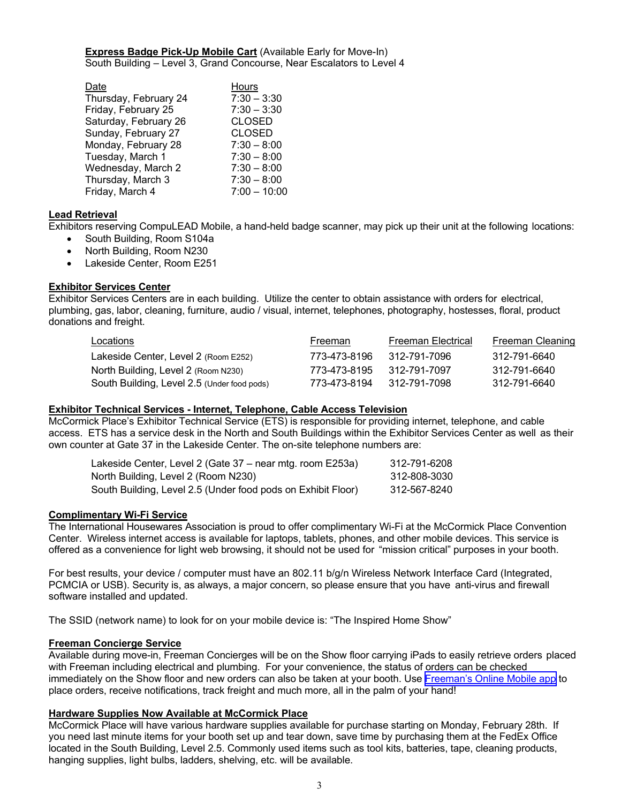**Express Badge Pick-Up Mobile Cart (Available Early for Move-In)** South Building – Level 3, Grand Concourse, Near Escalators to Level 4

| Date                  | Hours          |
|-----------------------|----------------|
| Thursday, February 24 | $7:30 - 3:30$  |
| Friday, February 25   | $7:30 - 3:30$  |
| Saturday, February 26 | <b>CLOSED</b>  |
| Sunday, February 27   | <b>CLOSED</b>  |
| Monday, February 28   | $7:30 - 8:00$  |
| Tuesday, March 1      | $7:30 - 8:00$  |
| Wednesday, March 2    | $7:30 - 8:00$  |
| Thursday, March 3     | $7:30 - 8:00$  |
| Friday, March 4       | $7:00 - 10:00$ |

# **Lead Retrieval**

Exhibitors reserving CompuLEAD Mobile, a hand-held badge scanner, may pick up their unit at the following locations:

- South Building, Room S104a
- North Building, Room N230
- Lakeside Center, Room E251

# **Exhibitor Services Center**

Exhibitor Services Centers are in each building. Utilize the center to obtain assistance with orders for electrical, plumbing, gas, labor, cleaning, furniture, audio / visual, internet, telephones, photography, hostesses, floral, product donations and freight.

| Locations                                   | Freeman      | Freeman Electrical | Freeman Cleaning |
|---------------------------------------------|--------------|--------------------|------------------|
| Lakeside Center, Level 2 (Room E252)        | 773-473-8196 | 312-791-7096       | 312-791-6640     |
| North Building, Level 2 (Room N230)         | 773-473-8195 | 312-791-7097       | 312-791-6640     |
| South Building, Level 2.5 (Under food pods) | 773-473-8194 | 312-791-7098       | 312-791-6640     |

#### **Exhibitor Technical Services - Internet, Telephone, Cable Access Television**

McCormick Place's Exhibitor Technical Service (ETS) is responsible for providing internet, telephone, and cable access. ETS has a service desk in the North and South Buildings within the Exhibitor Services Center as well as their own counter at Gate 37 in the Lakeside Center. The on-site telephone numbers are:

| Lakeside Center, Level 2 (Gate 37 – near mtg. room E253a)    | 312-791-6208 |
|--------------------------------------------------------------|--------------|
| North Building, Level 2 (Room N230)_                         | 312-808-3030 |
| South Building, Level 2.5 (Under food pods on Exhibit Floor) | 312-567-8240 |

#### **Complimentary Wi-Fi Service**

The International Housewares Association is proud to offer complimentary Wi-Fi at the McCormick Place Convention Center. Wireless internet access is available for laptops, tablets, phones, and other mobile devices. This service is offered as a convenience for light web browsing, it should not be used for "mission critical" purposes in your booth.

For best results, your device / computer must have an 802.11 b/g/n Wireless Network Interface Card (Integrated, PCMCIA or USB). Security is, as always, a major concern, so please ensure that you have anti-virus and firewall software installed and updated.

The SSID (network name) to look for on your mobile device is: "The Inspired Home Show"

#### **Freeman Concierge Service**

Available during move-in, Freeman Concierges will be on the Show floor carrying iPads to easily retrieve orders placed with Freeman including electrical and plumbing. For your convenience, the status of orders can be checked immediately on the Show floor and new orders can also be taken at your booth. Use [Freeman's Online Mobile app](https://www.freeman.com/find-show/?keyword=inspired+hom) to place orders, receive notifications, track freight and much more, all in the palm of your hand!

#### **Hardware Supplies Now Available at McCormick Place**

McCormick Place will have various hardware supplies available for purchase starting on Monday, February 28th. If you need last minute items for your booth set up and tear down, save time by purchasing them at the FedEx Office located in the South Building, Level 2.5. Commonly used items such as tool kits, batteries, tape, cleaning products, hanging supplies, light bulbs, ladders, shelving, etc. will be available.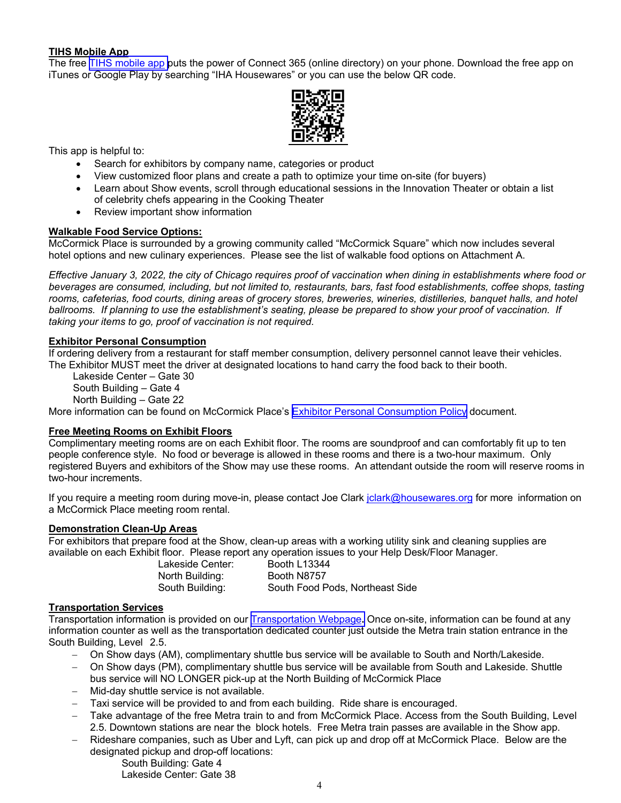# **TIHS Mobile App**

The free [TIHS mobile app](http://m.theinspiredhomeshow.com/) puts the power of Connect 365 (online directory) on your phone. Download the free app on iTunes or Google Play by searching "IHA Housewares" or you can use the below QR code.



This app is helpful to:

- Search for exhibitors by company name, categories or product
- View customized floor plans and create a path to optimize your time on-site (for buyers)
- Learn about Show events, scroll through educational sessions in the Innovation Theater or obtain a list of celebrity chefs appearing in the Cooking Theater
- Review important show information

# **Walkable Food Service Options:**

McCormick Place is surrounded by a growing community called "McCormick Square" which now includes several hotel options and new culinary experiences. Please see the list of walkable food options on Attachment A.

*Effective January 3, 2022, the city of Chicago requires proof of vaccination when dining in establishments where food or beverages are consumed, including, but not limited to, restaurants, bars, fast food establishments, coffee shops, tasting rooms, cafeterias, food courts, dining areas of grocery stores, breweries, wineries, distilleries, banquet halls, and hotel ballrooms. If planning to use the establishment's seating, please be prepared to show your proof of vaccination. If taking your items to go, proof of vaccination is not required.* 

# **Exhibitor Personal Consumption**

If ordering delivery from a restaurant for staff member consumption, delivery personnel cannot leave their vehicles. The Exhibitor MUST meet the driver at designated locations to hand carry the food back to their booth.

Lakeside Center – Gate 30

South Building – Gate 4 North Building – Gate 22

More information can be found on McCormick Place's [Exhibitor Personal Consumption Policy](https://www.theinspiredhomeshow.com/pdf/McCormick-Place-Exhibitor-Personal-Consumption-Policy.pdf) document.

#### **Free Meeting Rooms on Exhibit Floors**

Complimentary meeting rooms are on each Exhibit floor. The rooms are soundproof and can comfortably fit up to ten people conference style. No food or beverage is allowed in these rooms and there is a two-hour maximum. Only registered Buyers and exhibitors of the Show may use these rooms. An attendant outside the room will reserve rooms in two-hour increments.

If you require a meeting room during move-in, please contact Joe Clark jclark@housewares.org for more information on a McCormick Place meeting room rental.

#### **Demonstration Clean-Up Areas**

For exhibitors that prepare food at the Show, clean-up areas with a working utility sink and cleaning supplies are available on each Exhibit floor. Please report any operation issues to your Help Desk/Floor Manager.

> Lakeside Center: Booth L13344 North Building: Booth N8757

South Building: South Food Pods, Northeast Side

# **Transportation Services**

Transportation information is provided on our [Transportation Webpage](https://www.theinspiredhomeshow.com/attend/hotels-and-travel/travel/)**.** Once on-site, information can be found at any information counter as well as the transportation dedicated counter just outside the Metra train station entrance in the South Building, Level 2.5.

- On Show days (AM), complimentary shuttle bus service will be available to South and North/Lakeside.
- On Show days (PM), complimentary shuttle bus service will be available from South and Lakeside. Shuttle bus service will NO LONGER pick-up at the North Building of McCormick Place
- Mid-day shuttle service is not available.
- Taxi service will be provided to and from each building. Ride share is encouraged.
- Take advantage of the free Metra train to and from McCormick Place. Access from the South Building, Level 2.5. Downtown stations are near the block hotels. Free Metra train passes are available in the Show app.
- Rideshare companies, such as Uber and Lyft, can pick up and drop off at McCormick Place. Below are the designated pickup and drop-off locations:

 South Building: Gate 4 Lakeside Center: Gate 38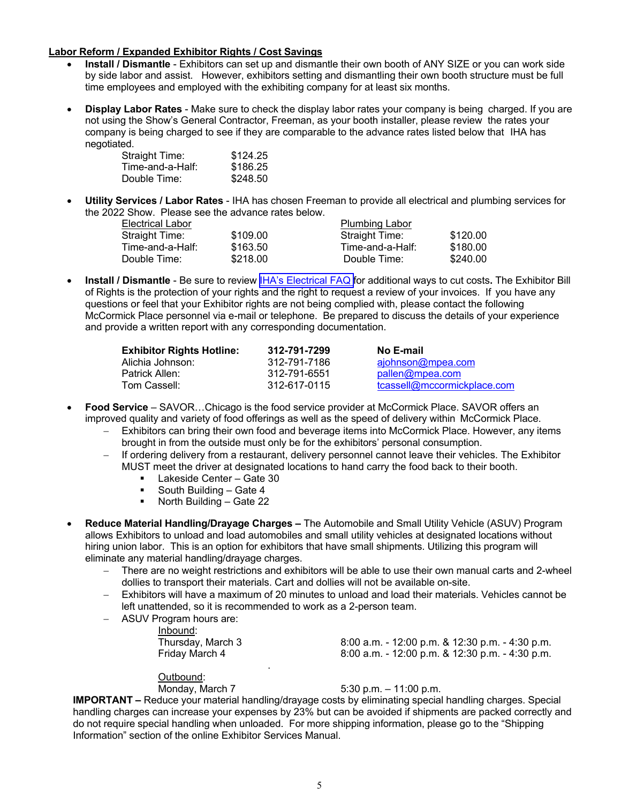# **Labor Reform / Expanded Exhibitor Rights / Cost Savings**

- **Install / Dismantle**  Exhibitors can set up and dismantle their own booth of ANY SIZE or you can work side by side labor and assist. However, exhibitors setting and dismantling their own booth structure must be full time employees and employed with the exhibiting company for at least six months.
- **Display Labor Rates**  Make sure to check the display labor rates your company is being charged. If you are not using the Show's General Contractor, Freeman, as your booth installer, please review the rates your company is being charged to see if they are comparable to the advance rates listed below that IHA has negotiated.

| <b>Straight Time:</b> | \$124.25 |
|-----------------------|----------|
| Time-and-a-Half:      | \$186.25 |
| Double Time:          | \$248.50 |

 **Utility Services / Labor Rates** - IHA has chosen Freeman to provide all electrical and plumbing services for the 2022 Show. Please see the advance rates below.

| Electrical Labor |          | <b>Plumbing Labor</b> |          |
|------------------|----------|-----------------------|----------|
| Straight Time:   | \$109.00 | Straight Time:        | \$120.00 |
| Time-and-a-Half: | \$163.50 | Time-and-a-Half:      | \$180.00 |
| Double Time: l   | \$218.00 | Double Time:          | \$240.00 |

 **Install / Dismantle** - Be sure to review [IHA's Electrical FAQ f](http://www.housewares.org/pdf/esm/IHAElectricalFAQ.pdf)or additional ways to cut costs**.** The Exhibitor Bill of Rights is the protection of your rights and the right to request a review of your invoices. If you have any questions or feel that your Exhibitor rights are not being complied with, please contact the following McCormick Place personnel via e-mail or telephone. Be prepared to discuss the details of your experience and provide a written report with any corresponding documentation.

| <b>Exhibitor Rights Hotline:</b> | 312-791-7299 | No E-mail                   |
|----------------------------------|--------------|-----------------------------|
| Alichia Johnson:                 | 312-791-7186 | ajohnson@mpea.com           |
| Patrick Allen:                   | 312-791-6551 | pallen@mpea.com             |
| Tom Cassell:                     | 312-617-0115 | tcassell@mccormickplace.com |

- **Food Service**  SAVOR…Chicago is the food service provider at McCormick Place. SAVOR offers an improved quality and variety of food offerings as well as the speed of delivery within McCormick Place.
	- Exhibitors can bring their own food and beverage items into McCormick Place. However, any items brought in from the outside must only be for the exhibitors' personal consumption.
	- If ordering delivery from a restaurant, delivery personnel cannot leave their vehicles. The Exhibitor MUST meet the driver at designated locations to hand carry the food back to their booth.
		- Lakeside Center Gate 30
		- South Building Gate 4<br>North Building Gate 22
		- North Building Gate 22
- **Reduce Material Handling/Drayage Charges** The Automobile and Small Utility Vehicle (ASUV) Program allows Exhibitors to unload and load automobiles and small utility vehicles at designated locations without hiring union labor. This is an option for exhibitors that have small shipments. Utilizing this program will eliminate any material handling/drayage charges.
	- There are no weight restrictions and exhibitors will be able to use their own manual carts and 2-wheel dollies to transport their materials. Cart and dollies will not be available on-site.
	- Exhibitors will have a maximum of 20 minutes to unload and load their materials. Vehicles cannot be left unattended, so it is recommended to work as a 2-person team.

| ASUV Program hours are: |  |
|-------------------------|--|
| Inbound:                |  |
| Thursday, March 3       |  |
| Friday March 4          |  |

.

8:00 a.m. - 12:00 p.m. & 12:30 p.m. - 4:30 p.m. 8:00 a.m. - 12:00 p.m. & 12:30 p.m. - 4:30 p.m.

Outbound:

Monday, March 7 5:30 p.m. – 11:00 p.m.

**IMPORTANT –** Reduce your material handling/drayage costs by eliminating special handling charges. Special handling charges can increase your expenses by 23% but can be avoided if shipments are packed correctly and do not require special handling when unloaded. For more shipping information, please go to the "Shipping Information" section of the online Exhibitor Services Manual.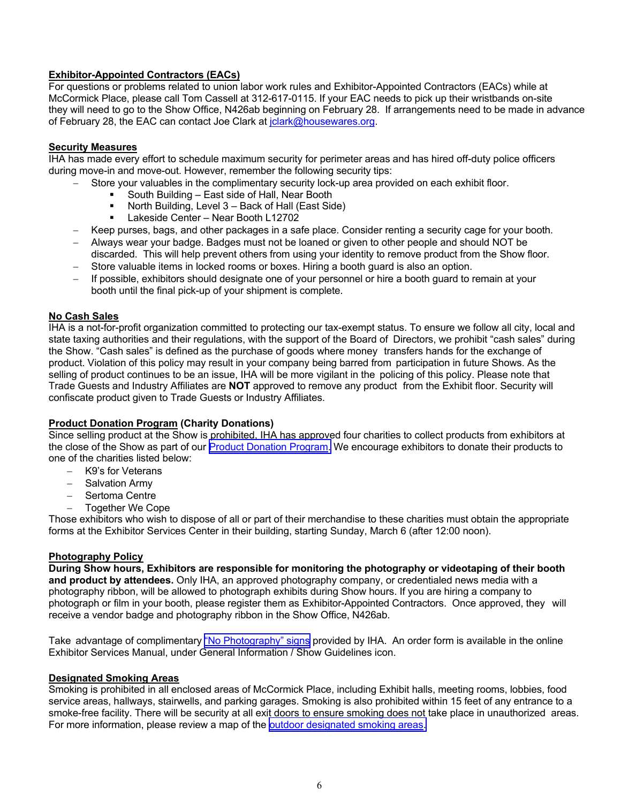# **Exhibitor-Appointed Contractors (EACs)**

For questions or problems related to union labor work rules and Exhibitor-Appointed Contractors (EACs) while at McCormick Place, please call Tom Cassell at 312-617-0115. If your EAC needs to pick up their wristbands on-site they will need to go to the Show Office, N426ab beginning on February 28. If arrangements need to be made in advance of February 28, the EAC can contact Joe Clark at jclark@housewares.org.

# **Security Measures**

IHA has made every effort to schedule maximum security for perimeter areas and has hired off-duty police officers during move-in and move-out. However, remember the following security tips:

- Store your valuables in the complimentary security lock-up area provided on each exhibit floor.
	- South Building East side of Hall, Near Booth
	- North Building, Level 3 Back of Hall (East Side)
	- Lakeside Center Near Booth L12702
- Keep purses, bags, and other packages in a safe place. Consider renting a security cage for your booth.
- Always wear your badge. Badges must not be loaned or given to other people and should NOT be discarded. This will help prevent others from using your identity to remove product from the Show floor.
- Store valuable items in locked rooms or boxes. Hiring a booth guard is also an option.
- If possible, exhibitors should designate one of your personnel or hire a booth guard to remain at your booth until the final pick-up of your shipment is complete.

# **No Cash Sales**

IHA is a not-for-profit organization committed to protecting our tax-exempt status. To ensure we follow all city, local and state taxing authorities and their regulations, with the support of the Board of Directors, we prohibit "cash sales" during the Show. "Cash sales" is defined as the purchase of goods where money transfers hands for the exchange of product. Violation of this policy may result in your company being barred from participation in future Shows. As the selling of product continues to be an issue, IHA will be more vigilant in the policing of this policy. Please note that Trade Guests and Industry Affiliates are **NOT** approved to remove any product from the Exhibit floor. Security will confiscate product given to Trade Guests or Industry Affiliates.

# **Product Donation Program (Charity Donations)**

Since selling product at the Show is prohibited, IHA has approved four charities to collect products from exhibitors at the close of the Show as part of our [Product Donation Program.](https://www.theinspiredhomeshow.com/pdf/Product-Donation-Program.pdf) We encourage exhibitors to donate their products to one of the charities listed below:

- K9's for Veterans
- Salvation Army
- Sertoma Centre
- Together We Cope

Those exhibitors who wish to dispose of all or part of their merchandise to these charities must obtain the appropriate forms at the Exhibitor Services Center in their building, starting Sunday, March 6 (after 12:00 noon).

#### **Photography Policy**

**During Show hours, Exhibitors are responsible for monitoring the photography or videotaping of their booth and product by attendees.** Only IHA, an approved photography company, or credentialed news media with a photography ribbon, will be allowed to photograph exhibits during Show hours. If you are hiring a company to photograph or film in your booth, please register them as Exhibitor-Appointed Contractors. Once approved, they will receive a vendor badge and photography ribbon in the Show Office, N426ab.

Take advantage of complimentary ["No Photography" signs](https://www.theinspiredhomeshow.com/exhibit/esk/no-photography-signs/) provided by IHA. An order form is available in the online Exhibitor Services Manual, under General Information / Show Guidelines icon.

#### **Designated Smoking Areas**

Smoking is prohibited in all enclosed areas of McCormick Place, including Exhibit halls, meeting rooms, lobbies, food service areas, hallways, stairwells, and parking garages. Smoking is also prohibited within 15 feet of any entrance to a smoke-free facility. There will be security at all exit doors to ensure smoking does not take place in unauthorized areas. For more information, please review a map of the [outdoor designated smoking areas.](http://www.housewares.org/pdf/esm/McCormickPlaceSmokingLocations.pdf)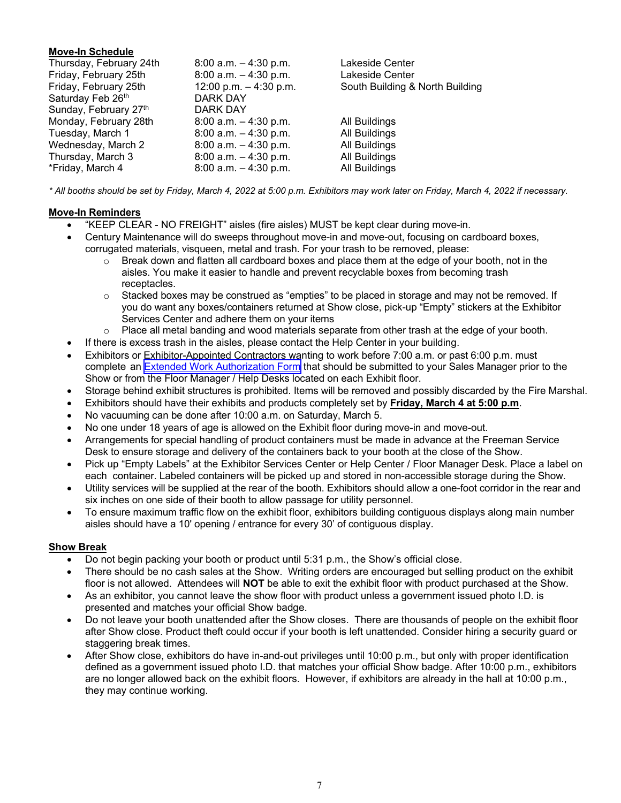# **Move-In Schedule**

| Thursday, February 24th | $8:00$ a.m. $-4:30$ p.m. | Lakeside Center                 |
|-------------------------|--------------------------|---------------------------------|
| Friday, February 25th   | $8:00$ a.m. $-4:30$ p.m. | Lakeside Center                 |
| Friday, February 25th   | 12:00 p.m. $-$ 4:30 p.m. | South Building & North Building |
| Saturday Feb 26th       | <b>DARK DAY</b>          |                                 |
| Sunday, February 27th   | DARK DAY                 |                                 |
| Monday, February 28th   | $8:00$ a.m. $-4:30$ p.m. | All Buildings                   |
| Tuesday, March 1        | $8:00$ a.m. $-4:30$ p.m. | All Buildings                   |
| Wednesday, March 2      | $8:00$ a.m. $-4:30$ p.m. | All Buildings                   |
| Thursday, March 3       | $8:00$ a.m. $-4:30$ p.m. | All Buildings                   |
| *Friday, March 4        | $8:00$ a.m. $-4:30$ p.m. | All Buildings                   |

*\* All booths should be set by Friday, March 4, 2022 at 5:00 p.m. Exhibitors may work later on Friday, March 4, 2022 if necessary.* 

# **Move-In Reminders**

- "KEEP CLEAR NO FREIGHT" aisles (fire aisles) MUST be kept clear during move-in.
- Century Maintenance will do sweeps throughout move-in and move-out, focusing on cardboard boxes, corrugated materials, visqueen, metal and trash. For your trash to be removed, please:
	- o Break down and flatten all cardboard boxes and place them at the edge of your booth, not in the aisles. You make it easier to handle and prevent recyclable boxes from becoming trash receptacles.
	- $\circ$  Stacked boxes may be construed as "empties" to be placed in storage and may not be removed. If you do want any boxes/containers returned at Show close, pick-up "Empty" stickers at the Exhibitor Services Center and adhere them on your items
	- $\circ$  Place all metal banding and wood materials separate from other trash at the edge of your booth.
- If there is excess trash in the aisles, please contact the Help Center in your building.
- Exhibitors or Exhibitor-Appointed Contractors wanting to work before 7:00 a.m. or past 6:00 p.m. must complete an [Extended Work Authorization Form](https://www.theinspiredhomeshow.com/wp-content/uploads/2020/02/170207b58f4_5-Security-ExtendedWorkAuth.pdf) that should be submitted to your Sales Manager prior to the Show or from the Floor Manager / Help Desks located on each Exhibit floor.
- Storage behind exhibit structures is prohibited. Items will be removed and possibly discarded by the Fire Marshal.
- Exhibitors should have their exhibits and products completely set by **Friday, March 4 at 5:00 p.m**.
- No vacuuming can be done after 10:00 a.m. on Saturday, March 5.
- No one under 18 years of age is allowed on the Exhibit floor during move-in and move-out.
- Arrangements for special handling of product containers must be made in advance at the Freeman Service Desk to ensure storage and delivery of the containers back to your booth at the close of the Show.
- Pick up "Empty Labels" at the Exhibitor Services Center or Help Center / Floor Manager Desk. Place a label on each container. Labeled containers will be picked up and stored in non-accessible storage during the Show.
- Utility services will be supplied at the rear of the booth. Exhibitors should allow a one-foot corridor in the rear and six inches on one side of their booth to allow passage for utility personnel.
- To ensure maximum traffic flow on the exhibit floor, exhibitors building contiguous displays along main number aisles should have a 10' opening / entrance for every 30' of contiguous display.

#### **Show Break**

- Do not begin packing your booth or product until 5:31 p.m., the Show's official close.
- There should be no cash sales at the Show. Writing orders are encouraged but selling product on the exhibit floor is not allowed. Attendees will **NOT** be able to exit the exhibit floor with product purchased at the Show.
- As an exhibitor, you cannot leave the show floor with product unless a government issued photo I.D. is presented and matches your official Show badge.
- Do not leave your booth unattended after the Show closes. There are thousands of people on the exhibit floor after Show close. Product theft could occur if your booth is left unattended. Consider hiring a security guard or staggering break times.
- After Show close, exhibitors do have in-and-out privileges until 10:00 p.m., but only with proper identification defined as a government issued photo I.D. that matches your official Show badge. After 10:00 p.m., exhibitors are no longer allowed back on the exhibit floors. However, if exhibitors are already in the hall at 10:00 p.m., they may continue working.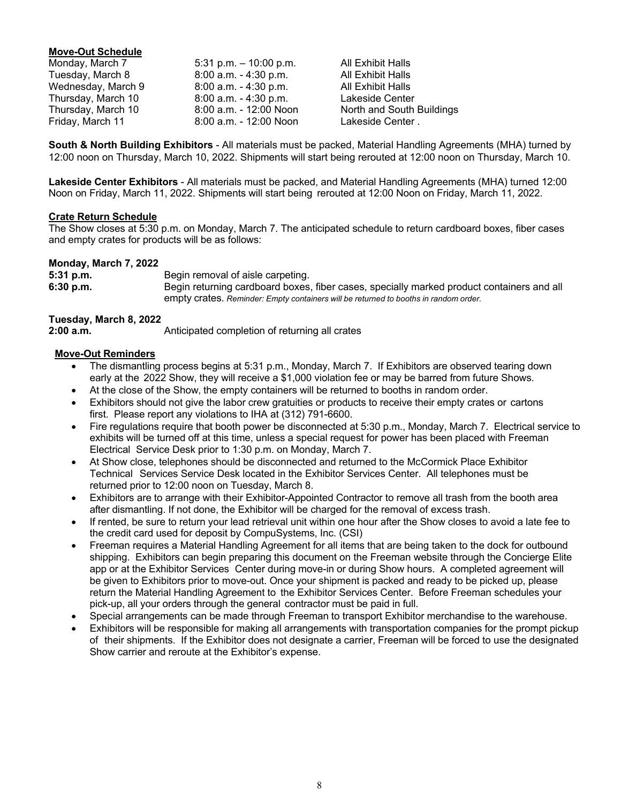# **Move-Out Schedule**

| Monday, March 7    | 5:31 p.m. $-$ 10:00 p.m. |
|--------------------|--------------------------|
| Tuesday, March 8   | 8:00 a.m. - 4:30 p.m.    |
| Wednesday, March 9 | $8:00$ a.m. $-4:30$ p.m. |
| Thursday, March 10 | $8:00$ a.m. $-4:30$ p.m. |
| Thursday, March 10 | 8:00 a.m. - 12:00 Noon   |
| Friday, March 11   | 8:00 a.m. - 12:00 Noon   |

**All Exhibit Halls** All Exhibit Halls All Exhibit Halls Lakeside Center North and South Buildings Lakeside Center .

**South & North Building Exhibitors** - All materials must be packed, Material Handling Agreements (MHA) turned by 12:00 noon on Thursday, March 10, 2022. Shipments will start being rerouted at 12:00 noon on Thursday, March 10.

**Lakeside Center Exhibitors** - All materials must be packed, and Material Handling Agreements (MHA) turned 12:00 Noon on Friday, March 11, 2022. Shipments will start being rerouted at 12:00 Noon on Friday, March 11, 2022.

#### **Crate Return Schedule**

The Show closes at 5:30 p.m. on Monday, March 7. The anticipated schedule to return cardboard boxes, fiber cases and empty crates for products will be as follows:

#### **Monday, March 7, 2022**

| 5:31 p.m. | Begin removal of aisle carpeting.                                                         |
|-----------|-------------------------------------------------------------------------------------------|
| 6:30 p.m. | Begin returning cardboard boxes, fiber cases, specially marked product containers and all |
|           | empty crates. Reminder: Empty containers will be returned to booths in random order.      |

# **Tuesday, March 8, 2022**

**2:00 a.m.** Anticipated completion of returning all crates

# **Move-Out Reminders**

- The dismantling process begins at 5:31 p.m., Monday, March 7. If Exhibitors are observed tearing down early at the 2022 Show, they will receive a \$1,000 violation fee or may be barred from future Shows.
- At the close of the Show, the empty containers will be returned to booths in random order.
- Exhibitors should not give the labor crew gratuities or products to receive their empty crates or cartons first. Please report any violations to IHA at (312) 791-6600.
- Fire regulations require that booth power be disconnected at 5:30 p.m., Monday, March 7. Electrical service to exhibits will be turned off at this time, unless a special request for power has been placed with Freeman Electrical Service Desk prior to 1:30 p.m. on Monday, March 7.
- At Show close, telephones should be disconnected and returned to the McCormick Place Exhibitor Technical Services Service Desk located in the Exhibitor Services Center. All telephones must be returned prior to 12:00 noon on Tuesday, March 8.
- Exhibitors are to arrange with their Exhibitor-Appointed Contractor to remove all trash from the booth area after dismantling. If not done, the Exhibitor will be charged for the removal of excess trash.
- If rented, be sure to return your lead retrieval unit within one hour after the Show closes to avoid a late fee to the credit card used for deposit by CompuSystems, Inc. (CSI)
- Freeman requires a Material Handling Agreement for all items that are being taken to the dock for outbound shipping. Exhibitors can begin preparing this document on the Freeman website through the Concierge Elite app or at the Exhibitor Services Center during move-in or during Show hours. A completed agreement will be given to Exhibitors prior to move-out. Once your shipment is packed and ready to be picked up, please return the Material Handling Agreement to the Exhibitor Services Center. Before Freeman schedules your pick-up, all your orders through the general contractor must be paid in full.
- Special arrangements can be made through Freeman to transport Exhibitor merchandise to the warehouse.
- Exhibitors will be responsible for making all arrangements with transportation companies for the prompt pickup of their shipments. If the Exhibitor does not designate a carrier, Freeman will be forced to use the designated Show carrier and reroute at the Exhibitor's expense.